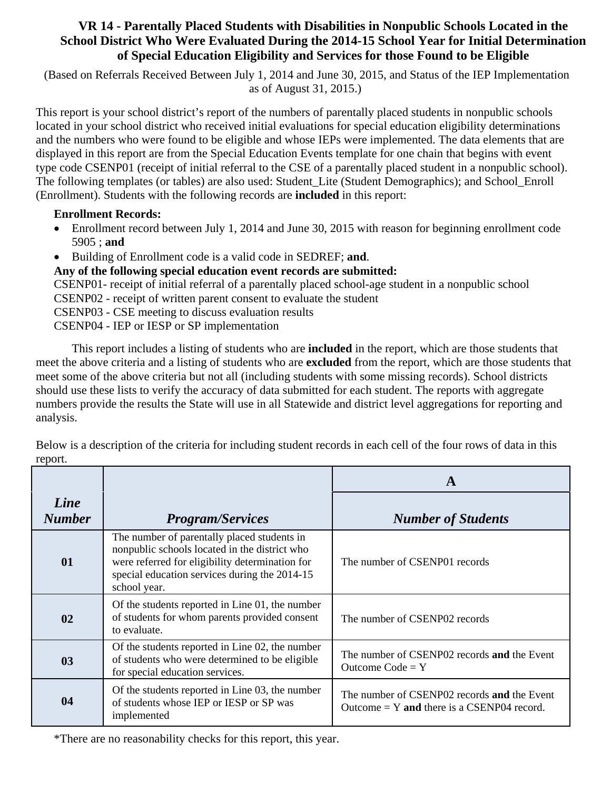## **VR 14 - Parentally Placed Students with Disabilities in Nonpublic Schools Located in the School District Who Were Evaluated During the 2014-15 School Year for Initial Determination of Special Education Eligibility and Services for those Found to be Eligible**

 (Based on Referrals Received Between July 1, 2014 and June 30, 2015, and Status of the IEP Implementation as of August 31, 2015.)

This report is your school district's report of the numbers of parentally placed students in nonpublic schools located in your school district who received initial evaluations for special education eligibility determinations and the numbers who were found to be eligible and whose IEPs were implemented. The data elements that are displayed in this report are from the Special Education Events template for one chain that begins with event type code CSENP01 (receipt of initial referral to the CSE of a parentally placed student in a nonpublic school). The following templates (or tables) are also used: Student\_Lite (Student Demographics); and School\_Enroll (Enrollment). Students with the following records are **included** in this report:

## **Enrollment Records:**

- Enrollment record between July 1, 2014 and June 30, 2015 with reason for beginning enrollment code 5905 ; **and**
- Building of Enrollment code is a valid code in SEDREF; **and**.

## **Any of the following special education event records are submitted:**

CSENP01- receipt of initial referral of a parentally placed school-age student in a nonpublic school

- CSENP02 receipt of written parent consent to evaluate the student
- CSENP03 CSE meeting to discuss evaluation results
- CSENP04 IEP or IESP or SP implementation

This report includes a listing of students who are **included** in the report, which are those students that meet the above criteria and a listing of students who are **excluded** from the report, which are those students that meet some of the above criteria but not all (including students with some missing records). School districts should use these lists to verify the accuracy of data submitted for each student. The reports with aggregate numbers provide the results the State will use in all Statewide and district level aggregations for reporting and analysis.

|                       |                                                                                                                                                                                                                  | A                                                                                           |  |
|-----------------------|------------------------------------------------------------------------------------------------------------------------------------------------------------------------------------------------------------------|---------------------------------------------------------------------------------------------|--|
| Line<br><b>Number</b> | <b>Program/Services</b>                                                                                                                                                                                          | <b>Number of Students</b>                                                                   |  |
| 01                    | The number of parentally placed students in<br>nonpublic schools located in the district who<br>were referred for eligibility determination for<br>special education services during the 2014-15<br>school year. | The number of CSENP01 records                                                               |  |
| 02                    | Of the students reported in Line 01, the number<br>of students for whom parents provided consent<br>to evaluate.                                                                                                 | The number of CSENP02 records                                                               |  |
| 0 <sub>3</sub>        | Of the students reported in Line 02, the number<br>of students who were determined to be eligible<br>for special education services.                                                                             | The number of CSENP02 records and the Event<br>Outcome $Code = Y$                           |  |
| 04                    | Of the students reported in Line 03, the number<br>of students whose IEP or IESP or SP was<br>implemented                                                                                                        | The number of CSENP02 records and the Event<br>Outcome $= Y$ and there is a CSENP04 record. |  |

Below is a description of the criteria for including student records in each cell of the four rows of data in this report.

\*There are no reasonability checks for this report, this year.